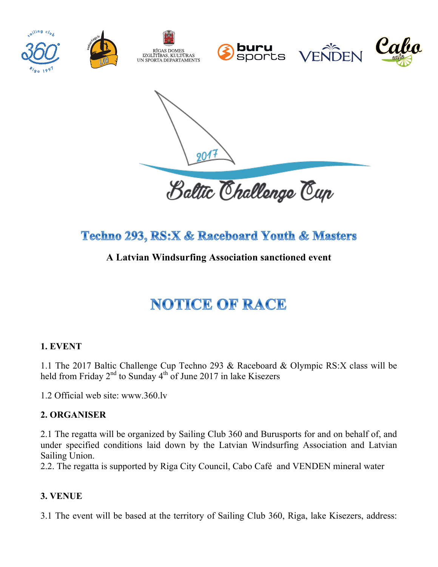

Baltic Challenge Cup

# **Techno 293, RS:X & Raceboard Youth & Masters**

# **A Latvian Windsurfing Association sanctioned event**

# **NOTICE OF RACE**

# **1. EVENT**

1.1 The 2017 Baltic Challenge Cup Techno 293 & Raceboard & Olympic RS:X class will be held from Friday  $2<sup>nd</sup>$  to Sunday  $4<sup>th</sup>$  of June 2017 in lake Kisezers

1.2 Official web site: www.360.lv

#### **2. ORGANISER**

2.1 The regatta will be organized by Sailing Club 360 and Burusports for and on behalf of, and under specified conditions laid down by the Latvian Windsurfing Association and Latvian Sailing Union.

2.2. The regatta is supported by Riga City Council, Cabo Café and VENDEN mineral water

#### **3. VENUE**

3.1 The event will be based at the territory of Sailing Club 360, Riga, lake Kisezers, address: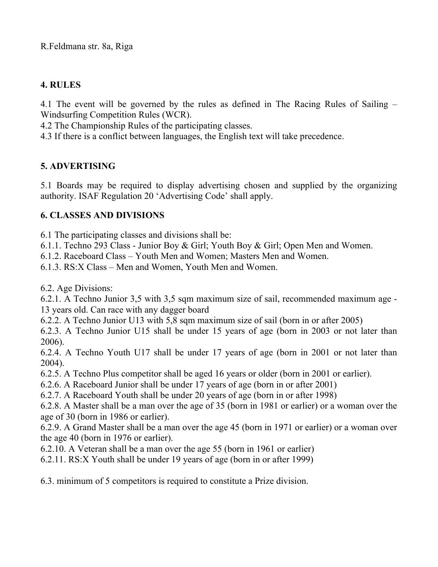R.Feldmana str. 8a, Riga

# **4. RULES**

4.1 The event will be governed by the rules as defined in The Racing Rules of Sailing – Windsurfing Competition Rules (WCR).

4.2 The Championship Rules of the participating classes.

4.3 If there is a conflict between languages, the English text will take precedence.

# **5. ADVERTISING**

5.1 Boards may be required to display advertising chosen and supplied by the organizing authority. ISAF Regulation 20 'Advertising Code' shall apply.

# **6. CLASSES AND DIVISIONS**

6.1 The participating classes and divisions shall be:

6.1.1. Techno 293 Class - Junior Boy & Girl; Youth Boy & Girl; Open Men and Women.

6.1.2. Raceboard Class – Youth Men and Women; Masters Men and Women.

6.1.3. RS:X Class – Men and Women, Youth Men and Women.

6.2. Age Divisions:

6.2.1. A Techno Junior 3,5 with 3,5 sqm maximum size of sail, recommended maximum age - 13 years old. Can race with any dagger board

6.2.2. A Techno Junior U13 with 5,8 sqm maximum size of sail (born in or after 2005)

6.2.3. A Techno Junior U15 shall be under 15 years of age (born in 2003 or not later than 2006).

6.2.4. A Techno Youth U17 shall be under 17 years of age (born in 2001 or not later than 2004).

6.2.5. A Techno Plus competitor shall be aged 16 years or older (born in 2001 or earlier).

6.2.6. A Raceboard Junior shall be under 17 years of age (born in or after 2001)

6.2.7. A Raceboard Youth shall be under 20 years of age (born in or after 1998)

6.2.8. A Master shall be a man over the age of 35 (born in 1981 or earlier) or a woman over the age of 30 (born in 1986 or earlier).

6.2.9. A Grand Master shall be a man over the age 45 (born in 1971 or earlier) or a woman over the age 40 (born in 1976 or earlier).

6.2.10. A Veteran shall be a man over the age 55 (born in 1961 or earlier)

6.2.11. RS:X Youth shall be under 19 years of age (born in or after 1999)

6.3. minimum of 5 competitors is required to constitute a Prize division.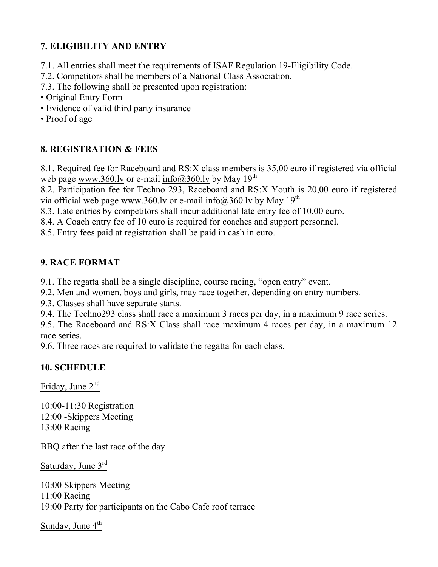# **7. ELIGIBILITY AND ENTRY**

- 7.1. All entries shall meet the requirements of ISAF Regulation 19-Eligibility Code.
- 7.2. Competitors shall be members of a National Class Association.
- 7.3. The following shall be presented upon registration:
- Original Entry Form
- Evidence of valid third party insurance
- Proof of age

#### **8. REGISTRATION & FEES**

8.1. Required fee for Raceboard and RS:X class members is 35,00 euro if registered via official web page www.360.lv or e-mail info@360.lv by May 19<sup>th</sup>

8.2. Participation fee for Techno 293, Raceboard and RS:X Youth is 20,00 euro if registered via official web page www.360.lv or e-mail info@360.lv by May 19<sup>th</sup>

8.3. Late entries by competitors shall incur additional late entry fee of 10,00 euro.

8.4. A Coach entry fee of 10 euro is required for coaches and support personnel.

8.5. Entry fees paid at registration shall be paid in cash in euro.

#### **9. RACE FORMAT**

9.1. The regatta shall be a single discipline, course racing, "open entry" event.

9.2. Men and women, boys and girls, may race together, depending on entry numbers.

9.3. Classes shall have separate starts.

9.4. The Techno293 class shall race a maximum 3 races per day, in a maximum 9 race series.

9.5. The Raceboard and RS:X Class shall race maximum 4 races per day, in a maximum 12 race series.

9.6. Three races are required to validate the regatta for each class.

# **10. SCHEDULE**

Friday, June  $2^{nd}$ 

10:00-11:30 Registration 12:00 -Skippers Meeting 13:00 Racing

BBQ after the last race of the day

Saturday, June 3rd

10:00 Skippers Meeting 11:00 Racing 19:00 Party for participants on the Cabo Cafe roof terrace

Sunday, June  $4<sup>th</sup>$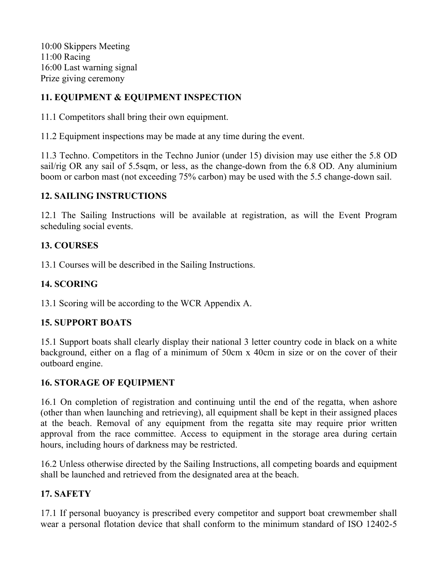10:00 Skippers Meeting 11:00 Racing 16:00 Last warning signal Prize giving ceremony

# **11. EQUIPMENT & EQUIPMENT INSPECTION**

11.1 Competitors shall bring their own equipment.

11.2 Equipment inspections may be made at any time during the event.

11.3 Techno. Competitors in the Techno Junior (under 15) division may use either the 5.8 OD sail/rig OR any sail of 5.5sqm, or less, as the change-down from the 6.8 OD. Any aluminium boom or carbon mast (not exceeding 75% carbon) may be used with the 5.5 change-down sail.

# **12. SAILING INSTRUCTIONS**

12.1 The Sailing Instructions will be available at registration, as will the Event Program scheduling social events.

# **13. COURSES**

13.1 Courses will be described in the Sailing Instructions.

# **14. SCORING**

13.1 Scoring will be according to the WCR Appendix A.

# **15. SUPPORT BOATS**

15.1 Support boats shall clearly display their national 3 letter country code in black on a white background, either on a flag of a minimum of 50cm x 40cm in size or on the cover of their outboard engine.

# **16. STORAGE OF EQUIPMENT**

16.1 On completion of registration and continuing until the end of the regatta, when ashore (other than when launching and retrieving), all equipment shall be kept in their assigned places at the beach. Removal of any equipment from the regatta site may require prior written approval from the race committee. Access to equipment in the storage area during certain hours, including hours of darkness may be restricted.

16.2 Unless otherwise directed by the Sailing Instructions, all competing boards and equipment shall be launched and retrieved from the designated area at the beach.

# **17. SAFETY**

17.1 If personal buoyancy is prescribed every competitor and support boat crewmember shall wear a personal flotation device that shall conform to the minimum standard of ISO 12402-5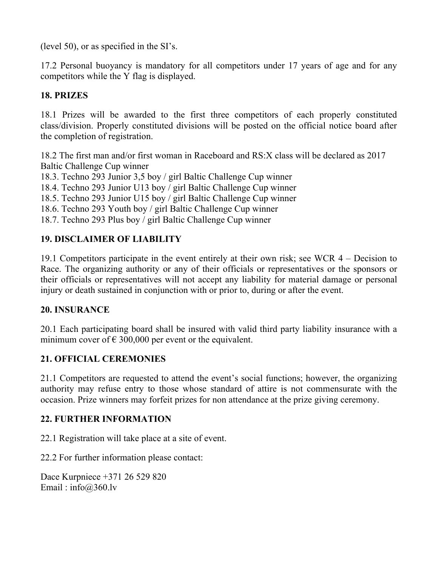(level 50), or as specified in the SI's.

17.2 Personal buoyancy is mandatory for all competitors under 17 years of age and for any competitors while the Y flag is displayed.

# **18. PRIZES**

18.1 Prizes will be awarded to the first three competitors of each properly constituted class/division. Properly constituted divisions will be posted on the official notice board after the completion of registration.

18.2 The first man and/or first woman in Raceboard and RS:X class will be declared as 2017 Baltic Challenge Cup winner

18.3. Techno 293 Junior 3,5 boy / girl Baltic Challenge Cup winner

18.4. Techno 293 Junior U13 boy / girl Baltic Challenge Cup winner

18.5. Techno 293 Junior U15 boy / girl Baltic Challenge Cup winner

18.6. Techno 293 Youth boy / girl Baltic Challenge Cup winner

18.7. Techno 293 Plus boy / girl Baltic Challenge Cup winner

# **19. DISCLAIMER OF LIABILITY**

19.1 Competitors participate in the event entirely at their own risk; see WCR 4 – Decision to Race. The organizing authority or any of their officials or representatives or the sponsors or their officials or representatives will not accept any liability for material damage or personal injury or death sustained in conjunction with or prior to, during or after the event.

#### **20. INSURANCE**

20.1 Each participating board shall be insured with valid third party liability insurance with a minimum cover of  $\epsilon$  300,000 per event or the equivalent.

# **21. OFFICIAL CEREMONIES**

21.1 Competitors are requested to attend the event's social functions; however, the organizing authority may refuse entry to those whose standard of attire is not commensurate with the occasion. Prize winners may forfeit prizes for non attendance at the prize giving ceremony.

# **22. FURTHER INFORMATION**

22.1 Registration will take place at a site of event.

22.2 For further information please contact:

Dace Kurpniece +371 26 529 820 Email: info $@360$ .lv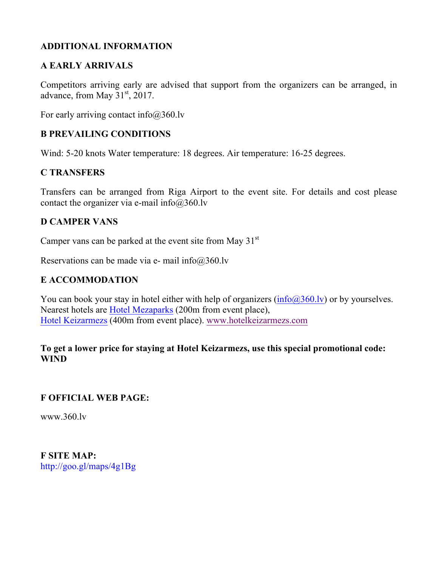#### **ADDITIONAL INFORMATION**

#### **A EARLY ARRIVALS**

Competitors arriving early are advised that support from the organizers can be arranged, in advance, from May  $31<sup>st</sup>$ , 2017.

For early arriving contact info $@360$ .lv

#### **B PREVAILING CONDITIONS**

Wind: 5-20 knots Water temperature: 18 degrees. Air temperature: 16-25 degrees.

#### **C TRANSFERS**

Transfers can be arranged from Riga Airport to the event site. For details and cost please contact the organizer via e-mail info $@360$ .lv

#### **D CAMPER VANS**

Camper vans can be parked at the event site from May  $31<sup>st</sup>$ 

Reservations can be made via e- mail info $@360$ .lv

#### **E ACCOMMODATION**

You can book your stay in hotel either with help of organizers (info@360.lv) or by yourselves. Nearest hotels are Hotel Mezaparks (200m from event place), Hotel Keizarmezs (400m from event place). www.hotelkeizarmezs.com

#### **To get a lower price for staying at Hotel Keizarmezs, use this special promotional code: WIND**

#### **F OFFICIAL WEB PAGE:**

www.360.lv

**F SITE MAP:** http://goo.gl/maps/4g1Bg